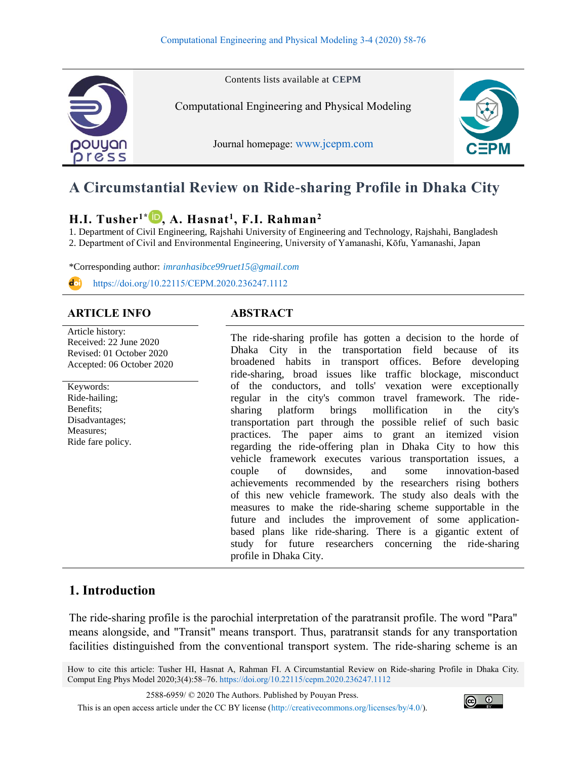

# **A Circumstantial Review on Ride-sharing Profile in Dhaka City**

# **H.I. Tusher1\* , A. Hasnat<sup>1</sup> , F.I. Rahman<sup>2</sup>**

1. Department of Civil Engineering, Rajshahi University of Engineering and Technology, Rajshahi, Bangladesh

2. Department of Civil and Environmental Engineering, University of Yamanashi, Kōfu, Yamanashi, Japan

\*Corresponding author: *imranhasibce99ruet15@gmail.com*

<https://doi.org/10.22115/CEPM.2020.236247.1112>

# **ARTICLE INFO ABSTRACT**

Article history: Received: 22 June 2020 Revised: 01 October 2020 Accepted: 06 October 2020

Keywords: Ride-hailing; Benefits; Disadvantages; Measures; Ride fare policy.

The ride-sharing profile has gotten a decision to the horde of Dhaka City in the transportation field because of its broadened habits in transport offices. Before developing ride-sharing, broad issues like traffic blockage, misconduct of the conductors, and tolls' vexation were exceptionally regular in the city's common travel framework. The ridesharing platform brings mollification in the city's transportation part through the possible relief of such basic practices. The paper aims to grant an itemized vision regarding the ride-offering plan in Dhaka City to how this vehicle framework executes various transportation issues, a couple of downsides, and some innovation-based achievements recommended by the researchers rising bothers of this new vehicle framework. The study also deals with the measures to make the ride-sharing scheme supportable in the future and includes the improvement of some applicationbased plans like ride-sharing. There is a gigantic extent of study for future researchers concerning the ride-sharing profile in Dhaka City.

# **1. Introduction**

The ride-sharing profile is the parochial interpretation of the paratransit profile. The word "Para" means alongside, and "Transit" means transport. Thus, paratransit stands for any transportation facilities distinguished from the conventional transport system. The ride-sharing scheme is an

How to cite this article: Tusher HI, Hasnat A, Rahman FI. A Circumstantial Review on Ride-sharing Profile in Dhaka City. Comput Eng Phys Model 2020;3(4):58–76.<https://doi.org/10.22115/cepm.2020.236247.1112>

2588-6959/ © 2020 The Authors. Published by Pouyan Press.

This is an open access article under the CC BY license [\(http://creativecommons.org/licenses/by/4.0/\)](http://creativecommons.org/licenses/by/4.0/).

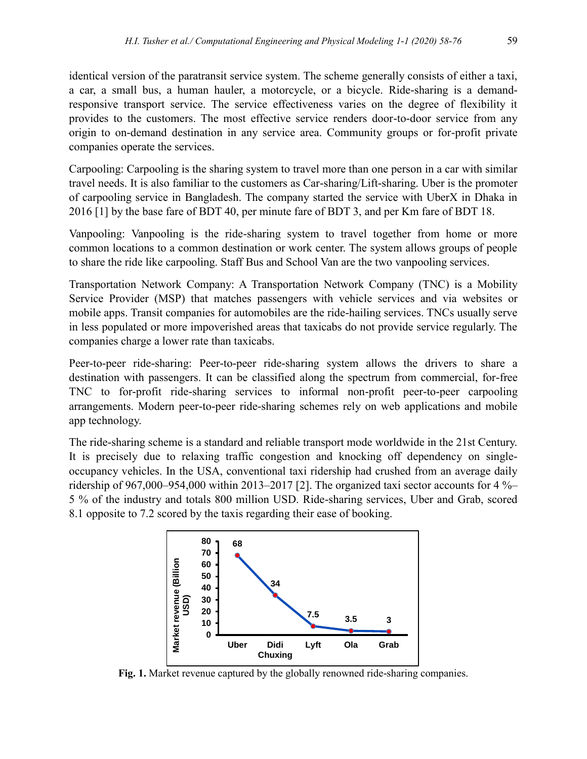identical version of the paratransit service system. The scheme generally consists of either a taxi, a car, a small bus, a human hauler, a motorcycle, or a bicycle. Ride-sharing is a demandresponsive transport service. The service effectiveness varies on the degree of flexibility it provides to the customers. The most effective service renders door-to-door service from any origin to on-demand destination in any service area. Community groups or for-profit private companies operate the services.

Carpooling: Carpooling is the sharing system to travel more than one person in a car with similar travel needs. It is also familiar to the customers as Car-sharing/Lift-sharing. Uber is the promoter of carpooling service in Bangladesh. The company started the service with UberX in Dhaka in 2016 [1] by the base fare of BDT 40, per minute fare of BDT 3, and per Km fare of BDT 18.

Vanpooling: Vanpooling is the ride-sharing system to travel together from home or more common locations to a common destination or work center. The system allows groups of people to share the ride like carpooling. Staff Bus and School Van are the two vanpooling services.

Transportation Network Company: A Transportation Network Company (TNC) is a Mobility Service Provider (MSP) that matches passengers with vehicle services and via websites or mobile apps. Transit companies for automobiles are the ride-hailing services. TNCs usually serve in less populated or more impoverished areas that taxicabs do not provide service regularly. The companies charge a lower rate than taxicabs.

Peer-to-peer ride-sharing: Peer-to-peer ride-sharing system allows the drivers to share a destination with passengers. It can be classified along the spectrum from commercial, for-free TNC to for-profit ride-sharing services to informal non-profit peer-to-peer carpooling arrangements. Modern peer-to-peer ride-sharing schemes rely on web applications and mobile app technology.

The ride-sharing scheme is a standard and reliable transport mode worldwide in the 21st Century. It is precisely due to relaxing traffic congestion and knocking off dependency on singleoccupancy vehicles. In the USA, conventional taxi ridership had crushed from an average daily ridership of 967,000–954,000 within 2013–2017 [2]. The organized taxi sector accounts for 4 %– 5 % of the industry and totals 800 million USD. Ride-sharing services, Uber and Grab, scored 8.1 opposite to 7.2 scored by the taxis regarding their ease of booking.



**Fig. 1.** Market revenue captured by the globally renowned ride-sharing companies.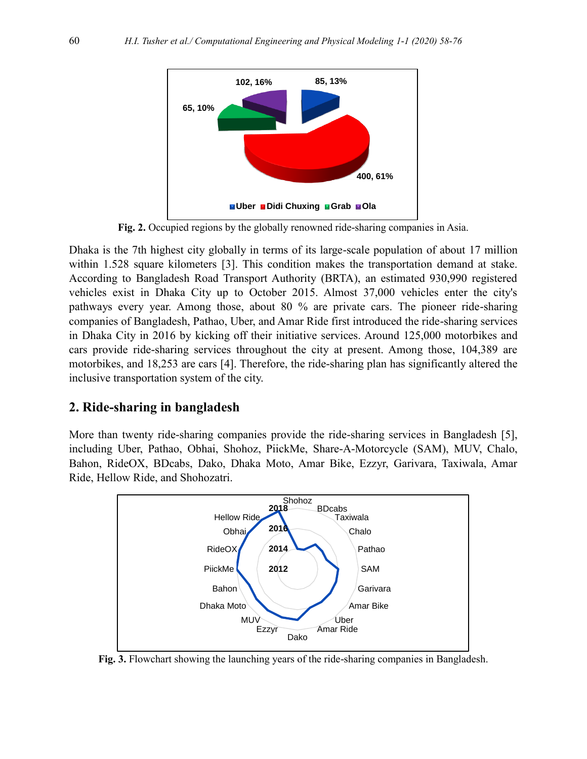

**Fig. 2.** Occupied regions by the globally renowned ride-sharing companies in Asia.

Dhaka is the 7th highest city globally in terms of its large-scale population of about 17 million within 1.528 square kilometers [3]. This condition makes the transportation demand at stake. According to Bangladesh Road Transport Authority (BRTA), an estimated 930,990 registered vehicles exist in Dhaka City up to October 2015. Almost 37,000 vehicles enter the city's pathways every year. Among those, about 80 % are private cars. The pioneer ride-sharing companies of Bangladesh, Pathao, Uber, and Amar Ride first introduced the ride-sharing services in Dhaka City in 2016 by kicking off their initiative services. Around 125,000 motorbikes and cars provide ride-sharing services throughout the city at present. Among those, 104,389 are motorbikes, and 18,253 are cars [4]. Therefore, the ride-sharing plan has significantly altered the inclusive transportation system of the city.

#### **2. Ride-sharing in bangladesh**

More than twenty ride-sharing companies provide the ride-sharing services in Bangladesh [5], including Uber, Pathao, Obhai, Shohoz, PiickMe, Share-A-Motorcycle (SAM), MUV, Chalo, Bahon, RideOX, BDcabs, Dako, Dhaka Moto, Amar Bike, Ezzyr, Garivara, Taxiwala, Amar Ride, Hellow Ride, and Shohozatri.



**Fig. 3.** Flowchart showing the launching years of the ride-sharing companies in Bangladesh.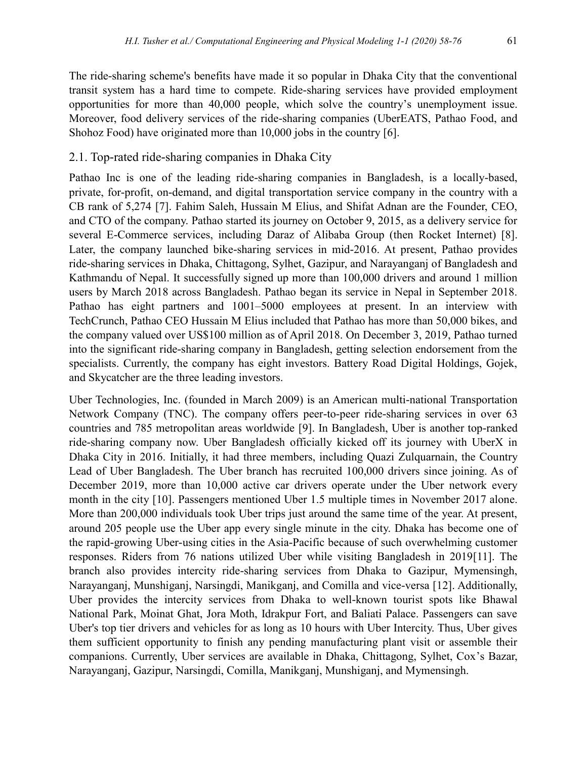The ride-sharing scheme's benefits have made it so popular in Dhaka City that the conventional transit system has a hard time to compete. Ride-sharing services have provided employment opportunities for more than 40,000 people, which solve the country's unemployment issue. Moreover, food delivery services of the ride-sharing companies (UberEATS, Pathao Food, and Shohoz Food) have originated more than 10,000 jobs in the country [6].

#### 2.1. Top-rated ride-sharing companies in Dhaka City

Pathao Inc is one of the leading ride-sharing companies in Bangladesh, is a locally-based, private, for-profit, on-demand, and digital transportation service company in the country with a CB rank of 5,274 [7]. Fahim Saleh, Hussain M Elius, and Shifat Adnan are the Founder, CEO, and CTO of the company. Pathao started its journey on October 9, 2015, as a delivery service for several E-Commerce services, including Daraz of Alibaba Group (then Rocket Internet) [8]. Later, the company launched bike-sharing services in mid-2016. At present, Pathao provides ride-sharing services in Dhaka, Chittagong, Sylhet, Gazipur, and Narayanganj of Bangladesh and Kathmandu of Nepal. It successfully signed up more than 100,000 drivers and around 1 million users by March 2018 across Bangladesh. Pathao began its service in Nepal in September 2018. Pathao has eight partners and 1001–5000 employees at present. In an interview with TechCrunch, Pathao CEO Hussain M Elius included that Pathao has more than 50,000 bikes, and the company valued over US\$100 million as of April 2018. On December 3, 2019, Pathao turned into the significant ride-sharing company in Bangladesh, getting selection endorsement from the specialists. Currently, the company has eight investors. Battery Road Digital Holdings, Gojek, and Skycatcher are the three leading investors.

Uber Technologies, Inc. (founded in March 2009) is an American multi-national Transportation Network Company (TNC). The company offers peer-to-peer ride-sharing services in over 63 countries and 785 metropolitan areas worldwide [9]. In Bangladesh, Uber is another top-ranked ride-sharing company now. Uber Bangladesh officially kicked off its journey with UberX in Dhaka City in 2016. Initially, it had three members, including Quazi Zulquarnain, the Country Lead of Uber Bangladesh. The Uber branch has recruited 100,000 drivers since joining. As of December 2019, more than 10,000 active car drivers operate under the Uber network every month in the city [10]. Passengers mentioned Uber 1.5 multiple times in November 2017 alone. More than 200,000 individuals took Uber trips just around the same time of the year. At present, around 205 people use the Uber app every single minute in the city. Dhaka has become one of the rapid-growing Uber-using cities in the Asia-Pacific because of such overwhelming customer responses. Riders from 76 nations utilized Uber while visiting Bangladesh in 2019[11]. The branch also provides intercity ride-sharing services from Dhaka to Gazipur, Mymensingh, Narayanganj, Munshiganj, Narsingdi, Manikganj, and Comilla and vice-versa [12]. Additionally, Uber provides the intercity services from Dhaka to well-known tourist spots like Bhawal National Park, Moinat Ghat, Jora Moth, Idrakpur Fort, and Baliati Palace. Passengers can save Uber's top tier drivers and vehicles for as long as 10 hours with Uber Intercity. Thus, Uber gives them sufficient opportunity to finish any pending manufacturing plant visit or assemble their companions. Currently, Uber services are available in Dhaka, Chittagong, Sylhet, Cox's Bazar, Narayanganj, Gazipur, Narsingdi, Comilla, Manikganj, Munshiganj, and Mymensingh.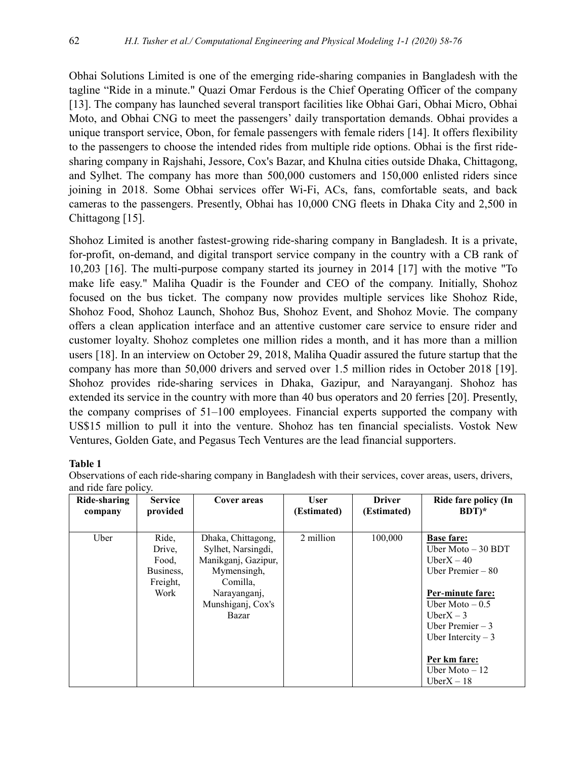Obhai Solutions Limited is one of the emerging ride-sharing companies in Bangladesh with the tagline "Ride in a minute." Quazi Omar Ferdous is the Chief Operating Officer of the company [13]. The company has launched several transport facilities like Obhai Gari, Obhai Micro, Obhai Moto, and Obhai CNG to meet the passengers' daily transportation demands. Obhai provides a unique transport service, Obon, for female passengers with female riders [14]. It offers flexibility to the passengers to choose the intended rides from multiple ride options. Obhai is the first ridesharing company in Rajshahi, Jessore, Cox's Bazar, and Khulna cities outside Dhaka, Chittagong, and Sylhet. The company has more than 500,000 customers and 150,000 enlisted riders since joining in 2018. Some Obhai services offer Wi-Fi, ACs, fans, comfortable seats, and back cameras to the passengers. Presently, Obhai has 10,000 CNG fleets in Dhaka City and 2,500 in Chittagong [15].

Shohoz Limited is another fastest-growing ride-sharing company in Bangladesh. It is a private, for-profit, on-demand, and digital transport service company in the country with a CB rank of 10,203 [16]. The multi-purpose company started its journey in 2014 [17] with the motive "To make life easy." Maliha Quadir is the Founder and CEO of the company. Initially, Shohoz focused on the bus ticket. The company now provides multiple services like Shohoz Ride, Shohoz Food, Shohoz Launch, Shohoz Bus, Shohoz Event, and Shohoz Movie. The company offers a clean application interface and an attentive customer care service to ensure rider and customer loyalty. Shohoz completes one million rides a month, and it has more than a million users [18]. In an interview on October 29, 2018, Maliha Quadir assured the future startup that the company has more than 50,000 drivers and served over 1.5 million rides in October 2018 [19]. Shohoz provides ride-sharing services in Dhaka, Gazipur, and Narayanganj. Shohoz has extended its service in the country with more than 40 bus operators and 20 ferries [20]. Presently, the company comprises of 51–100 employees. Financial experts supported the company with US\$15 million to pull it into the venture. Shohoz has ten financial specialists. Vostok New Ventures, Golden Gate, and Pegasus Tech Ventures are the lead financial supporters.

#### **Table 1**

Observations of each ride-sharing company in Bangladesh with their services, cover areas, users, drivers, and ride fare policy.

| Ride-sharing | <b>Service</b>                                            | Cover areas                                                                                                                              | <b>User</b> | <b>Driver</b> | Ride fare policy (In                                                                                                                                                                                                                    |
|--------------|-----------------------------------------------------------|------------------------------------------------------------------------------------------------------------------------------------------|-------------|---------------|-----------------------------------------------------------------------------------------------------------------------------------------------------------------------------------------------------------------------------------------|
| company      | provided                                                  |                                                                                                                                          | (Estimated) | (Estimated)   | $BDT)^*$                                                                                                                                                                                                                                |
| Uber         | Ride,<br>Drive,<br>Food,<br>Business,<br>Freight,<br>Work | Dhaka, Chittagong,<br>Sylhet, Narsingdi,<br>Manikganj, Gazipur,<br>Mymensingh,<br>Comilla,<br>Narayanganj,<br>Munshiganj, Cox's<br>Bazar | 2 million   | 100,000       | <b>Base fare:</b><br>Uber Moto $-30$ BDT<br>Uber $X - 40$<br>Uber Premier $-80$<br>Per-minute fare:<br>Uber Moto $-0.5$<br>Uber $X - 3$<br>Uber Premier $-3$<br>Uber Intercity $-3$<br>Per km fare:<br>Uber Moto $-12$<br>Uber $X - 18$ |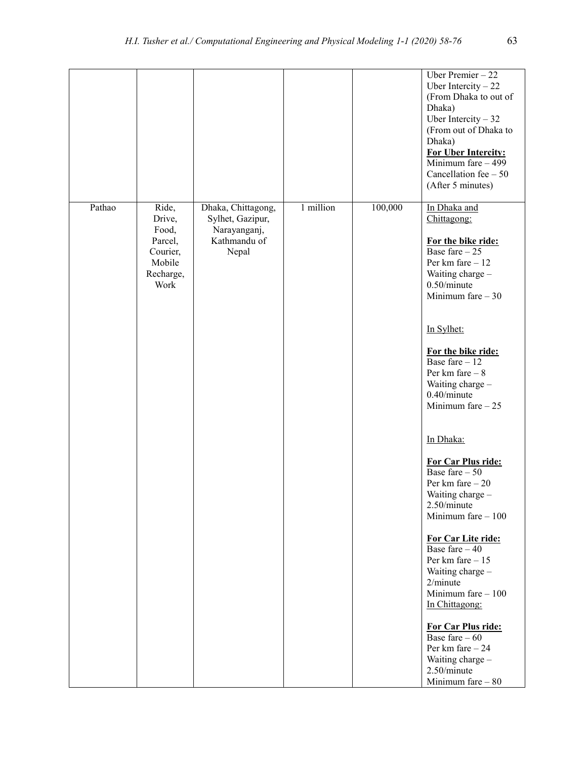|        |                                                                                |                                                                                 |           |         | Uber Premier $-22$<br>Uber Intercity $-22$<br>(From Dhaka to out of<br>Dhaka)<br>Uber Intercity $-32$<br>(From out of Dhaka to<br>Dhaka)<br><b>For Uber Intercity:</b><br>Minimum fare $-499$<br>Cancellation fee $-50$<br>(After 5 minutes) |
|--------|--------------------------------------------------------------------------------|---------------------------------------------------------------------------------|-----------|---------|----------------------------------------------------------------------------------------------------------------------------------------------------------------------------------------------------------------------------------------------|
| Pathao | Ride,<br>Drive,<br>Food,<br>Parcel,<br>Courier,<br>Mobile<br>Recharge,<br>Work | Dhaka, Chittagong,<br>Sylhet, Gazipur,<br>Narayanganj,<br>Kathmandu of<br>Nepal | 1 million | 100,000 | In Dhaka and<br>Chittagong:<br>For the bike ride:<br>Base fare $-25$<br>Per km fare $-12$<br>Waiting charge -<br>$0.50/m$ inute<br>Minimum fare $-30$<br>In Sylhet:                                                                          |
|        |                                                                                |                                                                                 |           |         | For the bike ride:<br>Base fare $-12$<br>Per km fare $-8$<br>Waiting charge -<br>$0.40/m$ inute<br>Minimum fare $-25$                                                                                                                        |
|        |                                                                                |                                                                                 |           |         | In Dhaka:<br>For Car Plus ride:<br>Base fare $-50$<br>Per km fare $-20$<br>Waiting charge -<br>2.50/minute<br>Minimum fare $-100$                                                                                                            |
|        |                                                                                |                                                                                 |           |         | For Car Lite ride:<br>Base fare $-40$<br>Per km fare $-15$<br>Waiting charge -<br>2/minute<br>Minimum fare $-100$<br>In Chittagong:                                                                                                          |
|        |                                                                                |                                                                                 |           |         | For Car Plus ride:<br>Base fare $-60$<br>Per km fare $-24$<br>Waiting charge -<br>2.50/minute<br>Minimum fare $-80$                                                                                                                          |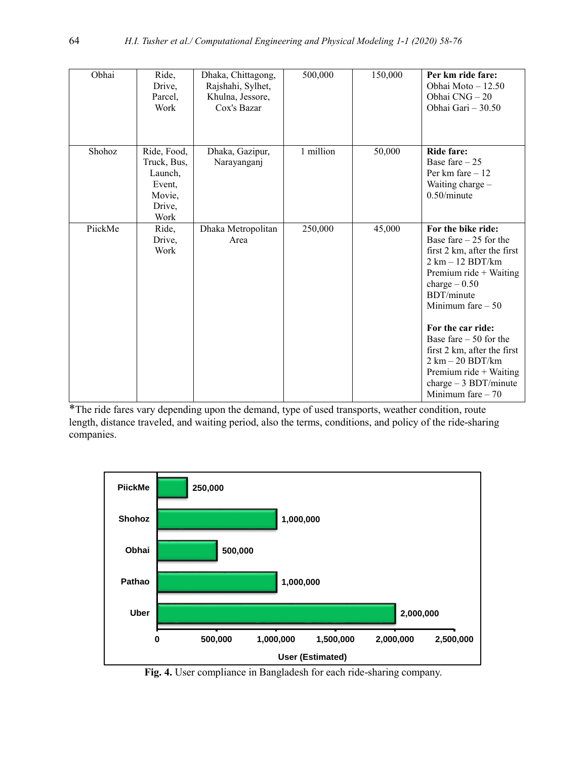| Obhai   | Ride,<br>Drive,<br>Parcel,<br>Work                                          | Dhaka, Chittagong,<br>Rajshahi, Sylhet,<br>Khulna, Jessore,<br>Cox's Bazar | 500,000   | 150,000 | Per km ride fare:<br>Obhai Moto - 12.50<br>Obhai CNG-20<br>Obhai Gari - 30.50                                                                                                                                                                                                                                                                                                                                 |
|---------|-----------------------------------------------------------------------------|----------------------------------------------------------------------------|-----------|---------|---------------------------------------------------------------------------------------------------------------------------------------------------------------------------------------------------------------------------------------------------------------------------------------------------------------------------------------------------------------------------------------------------------------|
| Shohoz  | Ride, Food,<br>Truck, Bus,<br>Launch,<br>Event,<br>Movie,<br>Drive,<br>Work | Dhaka, Gazipur,<br>Narayanganj                                             | 1 million | 50,000  | <b>Ride fare:</b><br>Base fare $-25$<br>Per km fare $-12$<br>Waiting charge -<br>$0.50/m$ inute                                                                                                                                                                                                                                                                                                               |
| PiickMe | Ride,<br>Drive,<br>Work                                                     | Dhaka Metropolitan<br>Area                                                 | 250,000   | 45,000  | For the bike ride:<br>Base fare $-25$ for the<br>first 2 km, after the first<br>$2 \text{ km} - 12 \text{ BDT/km}$<br>Premium ride $+$ Waiting<br>$charge - 0.50$<br><b>BDT/minute</b><br>Minimum fare $-50$<br>For the car ride:<br>Base fare $-50$ for the<br>first 2 km, after the first<br>$2 \text{ km} - 20 \text{ BDT/km}$<br>Premium ride $+$ Waiting<br>charge $-3$ BDT/minute<br>Minimum fare $-70$ |

\*The ride fares vary depending upon the demand, type of used transports, weather condition, route length, distance traveled, and waiting period, also the terms, conditions, and policy of the ride-sharing companies.



**Fig. 4.** User compliance in Bangladesh for each ride-sharing company.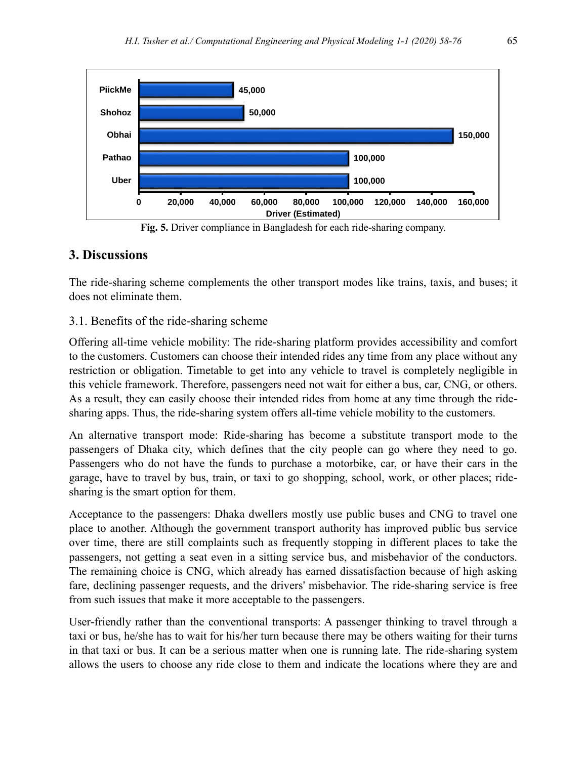

**Fig. 5.** Driver compliance in Bangladesh for each ride-sharing company.

# **3. Discussions**

The ride-sharing scheme complements the other transport modes like trains, taxis, and buses; it does not eliminate them.

#### 3.1. Benefits of the ride-sharing scheme

Offering all-time vehicle mobility: The ride-sharing platform provides accessibility and comfort to the customers. Customers can choose their intended rides any time from any place without any restriction or obligation. Timetable to get into any vehicle to travel is completely negligible in this vehicle framework. Therefore, passengers need not wait for either a bus, car, CNG, or others. As a result, they can easily choose their intended rides from home at any time through the ridesharing apps. Thus, the ride-sharing system offers all-time vehicle mobility to the customers.

An alternative transport mode: Ride-sharing has become a substitute transport mode to the passengers of Dhaka city, which defines that the city people can go where they need to go. Passengers who do not have the funds to purchase a motorbike, car, or have their cars in the garage, have to travel by bus, train, or taxi to go shopping, school, work, or other places; ridesharing is the smart option for them.

Acceptance to the passengers: Dhaka dwellers mostly use public buses and CNG to travel one place to another. Although the government transport authority has improved public bus service over time, there are still complaints such as frequently stopping in different places to take the passengers, not getting a seat even in a sitting service bus, and misbehavior of the conductors. The remaining choice is CNG, which already has earned dissatisfaction because of high asking fare, declining passenger requests, and the drivers' misbehavior. The ride-sharing service is free from such issues that make it more acceptable to the passengers.

User-friendly rather than the conventional transports: A passenger thinking to travel through a taxi or bus, he/she has to wait for his/her turn because there may be others waiting for their turns in that taxi or bus. It can be a serious matter when one is running late. The ride-sharing system allows the users to choose any ride close to them and indicate the locations where they are and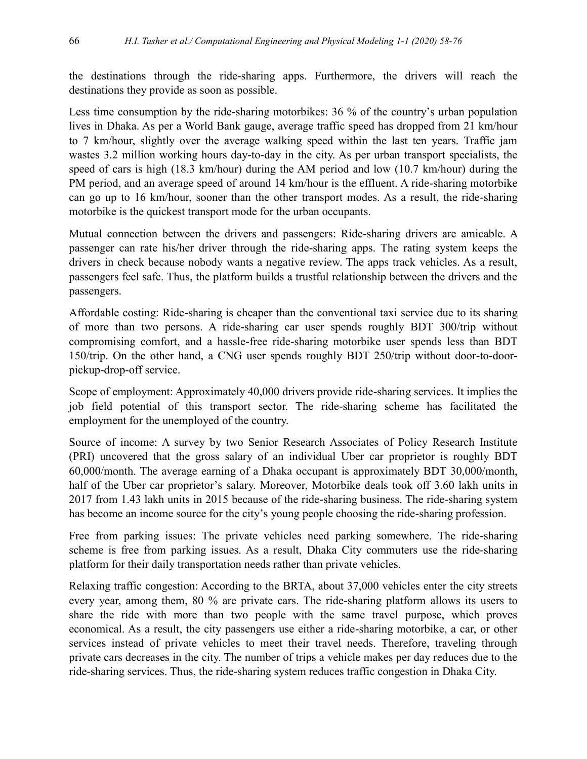the destinations through the ride-sharing apps. Furthermore, the drivers will reach the destinations they provide as soon as possible.

Less time consumption by the ride-sharing motorbikes: 36 % of the country's urban population lives in Dhaka. As per a World Bank gauge, average traffic speed has dropped from 21 km/hour to 7 km/hour, slightly over the average walking speed within the last ten years. Traffic jam wastes 3.2 million working hours day-to-day in the city. As per urban transport specialists, the speed of cars is high (18.3 km/hour) during the AM period and low (10.7 km/hour) during the PM period, and an average speed of around 14 km/hour is the effluent. A ride-sharing motorbike can go up to 16 km/hour, sooner than the other transport modes. As a result, the ride-sharing motorbike is the quickest transport mode for the urban occupants.

Mutual connection between the drivers and passengers: Ride-sharing drivers are amicable. A passenger can rate his/her driver through the ride-sharing apps. The rating system keeps the drivers in check because nobody wants a negative review. The apps track vehicles. As a result, passengers feel safe. Thus, the platform builds a trustful relationship between the drivers and the passengers.

Affordable costing: Ride-sharing is cheaper than the conventional taxi service due to its sharing of more than two persons. A ride-sharing car user spends roughly BDT 300/trip without compromising comfort, and a hassle-free ride-sharing motorbike user spends less than BDT 150/trip. On the other hand, a CNG user spends roughly BDT 250/trip without door-to-doorpickup-drop-off service.

Scope of employment: Approximately 40,000 drivers provide ride-sharing services. It implies the job field potential of this transport sector. The ride-sharing scheme has facilitated the employment for the unemployed of the country.

Source of income: A survey by two Senior Research Associates of Policy Research Institute (PRI) uncovered that the gross salary of an individual Uber car proprietor is roughly BDT 60,000/month. The average earning of a Dhaka occupant is approximately BDT 30,000/month, half of the Uber car proprietor's salary. Moreover, Motorbike deals took off 3.60 lakh units in 2017 from 1.43 lakh units in 2015 because of the ride-sharing business. The ride-sharing system has become an income source for the city's young people choosing the ride-sharing profession.

Free from parking issues: The private vehicles need parking somewhere. The ride-sharing scheme is free from parking issues. As a result, Dhaka City commuters use the ride-sharing platform for their daily transportation needs rather than private vehicles.

Relaxing traffic congestion: According to the BRTA, about 37,000 vehicles enter the city streets every year, among them, 80 % are private cars. The ride-sharing platform allows its users to share the ride with more than two people with the same travel purpose, which proves economical. As a result, the city passengers use either a ride-sharing motorbike, a car, or other services instead of private vehicles to meet their travel needs. Therefore, traveling through private cars decreases in the city. The number of trips a vehicle makes per day reduces due to the ride-sharing services. Thus, the ride-sharing system reduces traffic congestion in Dhaka City.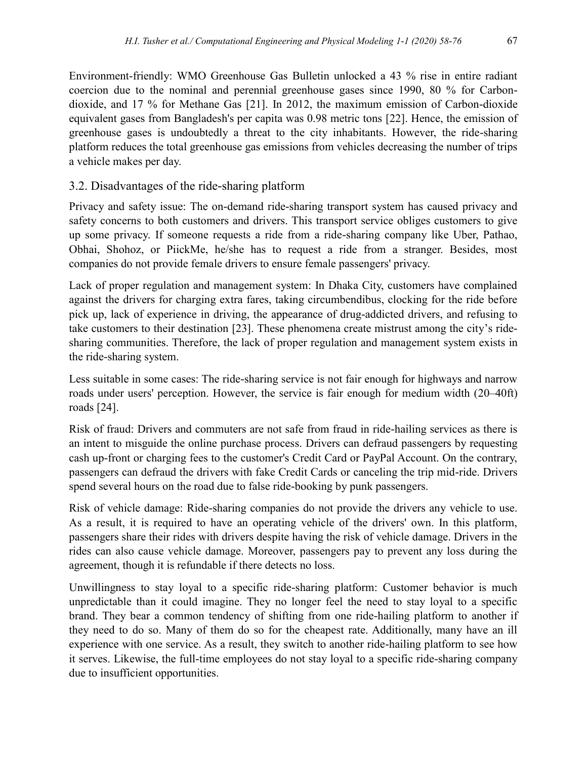Environment-friendly: WMO Greenhouse Gas Bulletin unlocked a 43 % rise in entire radiant coercion due to the nominal and perennial greenhouse gases since 1990, 80 % for Carbondioxide, and 17 % for Methane Gas [21]. In 2012, the maximum emission of Carbon-dioxide equivalent gases from Bangladesh's per capita was 0.98 metric tons [22]. Hence, the emission of greenhouse gases is undoubtedly a threat to the city inhabitants. However, the ride-sharing platform reduces the total greenhouse gas emissions from vehicles decreasing the number of trips a vehicle makes per day.

#### 3.2. Disadvantages of the ride-sharing platform

Privacy and safety issue: The on-demand ride-sharing transport system has caused privacy and safety concerns to both customers and drivers. This transport service obliges customers to give up some privacy. If someone requests a ride from a ride-sharing company like Uber, Pathao, Obhai, Shohoz, or PiickMe, he/she has to request a ride from a stranger. Besides, most companies do not provide female drivers to ensure female passengers' privacy.

Lack of proper regulation and management system: In Dhaka City, customers have complained against the drivers for charging extra fares, taking circumbendibus, clocking for the ride before pick up, lack of experience in driving, the appearance of drug-addicted drivers, and refusing to take customers to their destination [23]. These phenomena create mistrust among the city's ridesharing communities. Therefore, the lack of proper regulation and management system exists in the ride-sharing system.

Less suitable in some cases: The ride-sharing service is not fair enough for highways and narrow roads under users' perception. However, the service is fair enough for medium width (20–40ft) roads [24].

Risk of fraud: Drivers and commuters are not safe from fraud in ride-hailing services as there is an intent to misguide the online purchase process. Drivers can defraud passengers by requesting cash up-front or charging fees to the customer's Credit Card or PayPal Account. On the contrary, passengers can defraud the drivers with fake Credit Cards or canceling the trip mid-ride. Drivers spend several hours on the road due to false ride-booking by punk passengers.

Risk of vehicle damage: Ride-sharing companies do not provide the drivers any vehicle to use. As a result, it is required to have an operating vehicle of the drivers' own. In this platform, passengers share their rides with drivers despite having the risk of vehicle damage. Drivers in the rides can also cause vehicle damage. Moreover, passengers pay to prevent any loss during the agreement, though it is refundable if there detects no loss.

Unwillingness to stay loyal to a specific ride-sharing platform: Customer behavior is much unpredictable than it could imagine. They no longer feel the need to stay loyal to a specific brand. They bear a common tendency of shifting from one ride-hailing platform to another if they need to do so. Many of them do so for the cheapest rate. Additionally, many have an ill experience with one service. As a result, they switch to another ride-hailing platform to see how it serves. Likewise, the full-time employees do not stay loyal to a specific ride-sharing company due to insufficient opportunities.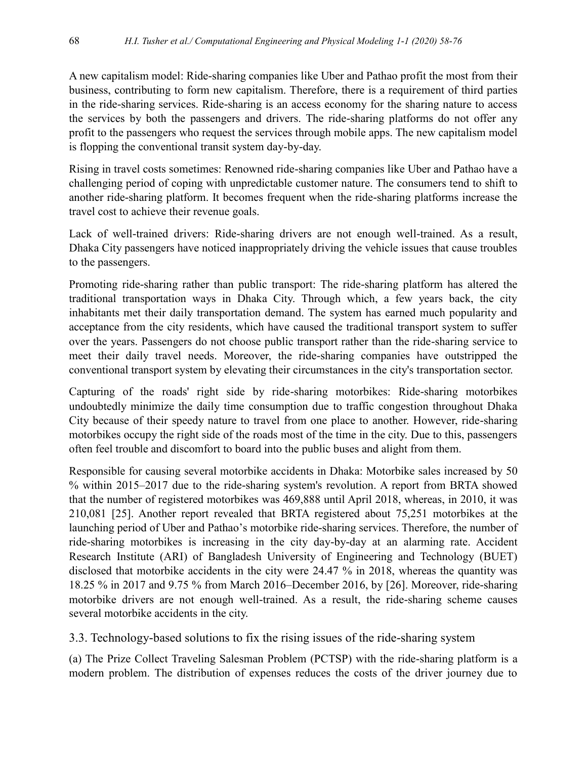A new capitalism model: Ride-sharing companies like Uber and Pathao profit the most from their business, contributing to form new capitalism. Therefore, there is a requirement of third parties in the ride-sharing services. Ride-sharing is an access economy for the sharing nature to access the services by both the passengers and drivers. The ride-sharing platforms do not offer any profit to the passengers who request the services through mobile apps. The new capitalism model is flopping the conventional transit system day-by-day.

Rising in travel costs sometimes: Renowned ride-sharing companies like Uber and Pathao have a challenging period of coping with unpredictable customer nature. The consumers tend to shift to another ride-sharing platform. It becomes frequent when the ride-sharing platforms increase the travel cost to achieve their revenue goals.

Lack of well-trained drivers: Ride-sharing drivers are not enough well-trained. As a result, Dhaka City passengers have noticed inappropriately driving the vehicle issues that cause troubles to the passengers.

Promoting ride-sharing rather than public transport: The ride-sharing platform has altered the traditional transportation ways in Dhaka City. Through which, a few years back, the city inhabitants met their daily transportation demand. The system has earned much popularity and acceptance from the city residents, which have caused the traditional transport system to suffer over the years. Passengers do not choose public transport rather than the ride-sharing service to meet their daily travel needs. Moreover, the ride-sharing companies have outstripped the conventional transport system by elevating their circumstances in the city's transportation sector.

Capturing of the roads' right side by ride-sharing motorbikes: Ride-sharing motorbikes undoubtedly minimize the daily time consumption due to traffic congestion throughout Dhaka City because of their speedy nature to travel from one place to another. However, ride-sharing motorbikes occupy the right side of the roads most of the time in the city. Due to this, passengers often feel trouble and discomfort to board into the public buses and alight from them.

Responsible for causing several motorbike accidents in Dhaka: Motorbike sales increased by 50 % within 2015–2017 due to the ride-sharing system's revolution. A report from BRTA showed that the number of registered motorbikes was 469,888 until April 2018, whereas, in 2010, it was 210,081 [25]. Another report revealed that BRTA registered about 75,251 motorbikes at the launching period of Uber and Pathao's motorbike ride-sharing services. Therefore, the number of ride-sharing motorbikes is increasing in the city day-by-day at an alarming rate. Accident Research Institute (ARI) of Bangladesh University of Engineering and Technology (BUET) disclosed that motorbike accidents in the city were 24.47 % in 2018, whereas the quantity was 18.25 % in 2017 and 9.75 % from March 2016–December 2016, by [26]. Moreover, ride-sharing motorbike drivers are not enough well-trained. As a result, the ride-sharing scheme causes several motorbike accidents in the city.

3.3. Technology-based solutions to fix the rising issues of the ride-sharing system

(a) The Prize Collect Traveling Salesman Problem (PCTSP) with the ride-sharing platform is a modern problem. The distribution of expenses reduces the costs of the driver journey due to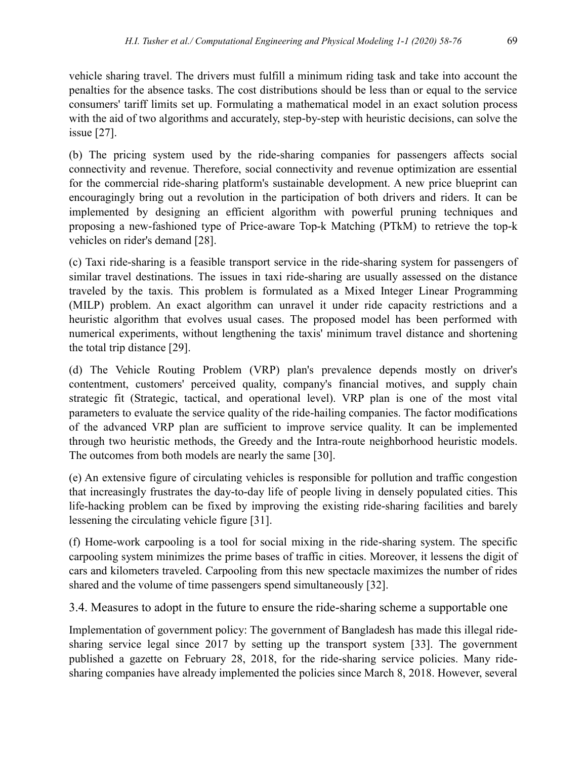vehicle sharing travel. The drivers must fulfill a minimum riding task and take into account the penalties for the absence tasks. The cost distributions should be less than or equal to the service consumers' tariff limits set up. Formulating a mathematical model in an exact solution process with the aid of two algorithms and accurately, step-by-step with heuristic decisions, can solve the issue [27].

(b) The pricing system used by the ride-sharing companies for passengers affects social connectivity and revenue. Therefore, social connectivity and revenue optimization are essential for the commercial ride-sharing platform's sustainable development. A new price blueprint can encouragingly bring out a revolution in the participation of both drivers and riders. It can be implemented by designing an efficient algorithm with powerful pruning techniques and proposing a new-fashioned type of Price-aware Top-k Matching (PTkM) to retrieve the top-k vehicles on rider's demand [28].

(c) Taxi ride-sharing is a feasible transport service in the ride-sharing system for passengers of similar travel destinations. The issues in taxi ride-sharing are usually assessed on the distance traveled by the taxis. This problem is formulated as a Mixed Integer Linear Programming (MILP) problem. An exact algorithm can unravel it under ride capacity restrictions and a heuristic algorithm that evolves usual cases. The proposed model has been performed with numerical experiments, without lengthening the taxis' minimum travel distance and shortening the total trip distance [29].

(d) The Vehicle Routing Problem (VRP) plan's prevalence depends mostly on driver's contentment, customers' perceived quality, company's financial motives, and supply chain strategic fit (Strategic, tactical, and operational level). VRP plan is one of the most vital parameters to evaluate the service quality of the ride-hailing companies. The factor modifications of the advanced VRP plan are sufficient to improve service quality. It can be implemented through two heuristic methods, the Greedy and the Intra-route neighborhood heuristic models. The outcomes from both models are nearly the same [30].

(e) An extensive figure of circulating vehicles is responsible for pollution and traffic congestion that increasingly frustrates the day-to-day life of people living in densely populated cities. This life-hacking problem can be fixed by improving the existing ride-sharing facilities and barely lessening the circulating vehicle figure [31].

(f) Home-work carpooling is a tool for social mixing in the ride-sharing system. The specific carpooling system minimizes the prime bases of traffic in cities. Moreover, it lessens the digit of cars and kilometers traveled. Carpooling from this new spectacle maximizes the number of rides shared and the volume of time passengers spend simultaneously [32].

3.4. Measures to adopt in the future to ensure the ride-sharing scheme a supportable one

Implementation of government policy: The government of Bangladesh has made this illegal ridesharing service legal since 2017 by setting up the transport system [33]. The government published a gazette on February 28, 2018, for the ride-sharing service policies. Many ridesharing companies have already implemented the policies since March 8, 2018. However, several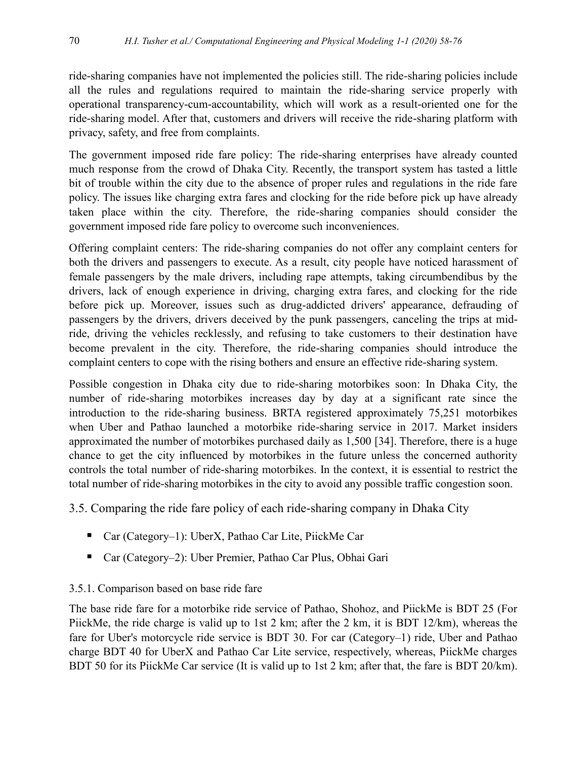ride-sharing companies have not implemented the policies still. The ride-sharing policies include all the rules and regulations required to maintain the ride-sharing service properly with operational transparency-cum-accountability, which will work as a result-oriented one for the ride-sharing model. After that, customers and drivers will receive the ride-sharing platform with privacy, safety, and free from complaints.

The government imposed ride fare policy: The ride-sharing enterprises have already counted much response from the crowd of Dhaka City. Recently, the transport system has tasted a little bit of trouble within the city due to the absence of proper rules and regulations in the ride fare policy. The issues like charging extra fares and clocking for the ride before pick up have already taken place within the city. Therefore, the ride-sharing companies should consider the government imposed ride fare policy to overcome such inconveniences.

Offering complaint centers: The ride-sharing companies do not offer any complaint centers for both the drivers and passengers to execute. As a result, city people have noticed harassment of female passengers by the male drivers, including rape attempts, taking circumbendibus by the drivers, lack of enough experience in driving, charging extra fares, and clocking for the ride before pick up. Moreover, issues such as drug-addicted drivers' appearance, defrauding of passengers by the drivers, drivers deceived by the punk passengers, canceling the trips at midride, driving the vehicles recklessly, and refusing to take customers to their destination have become prevalent in the city. Therefore, the ride-sharing companies should introduce the complaint centers to cope with the rising bothers and ensure an effective ride-sharing system.

Possible congestion in Dhaka city due to ride-sharing motorbikes soon: In Dhaka City, the number of ride-sharing motorbikes increases day by day at a significant rate since the introduction to the ride-sharing business. BRTA registered approximately 75,251 motorbikes when Uber and Pathao launched a motorbike ride-sharing service in 2017. Market insiders approximated the number of motorbikes purchased daily as 1,500 [34]. Therefore, there is a huge chance to get the city influenced by motorbikes in the future unless the concerned authority controls the total number of ride-sharing motorbikes. In the context, it is essential to restrict the total number of ride-sharing motorbikes in the city to avoid any possible traffic congestion soon.

3.5. Comparing the ride fare policy of each ride-sharing company in Dhaka City

- Car (Category–1): UberX, Pathao Car Lite, PiickMe Car
- Car (Category–2): Uber Premier, Pathao Car Plus, Obhai Gari

# 3.5.1. Comparison based on base ride fare

The base ride fare for a motorbike ride service of Pathao, Shohoz, and PiickMe is BDT 25 (For PiickMe, the ride charge is valid up to 1st 2 km; after the 2 km, it is BDT 12/km), whereas the fare for Uber's motorcycle ride service is BDT 30. For car (Category–1) ride, Uber and Pathao charge BDT 40 for UberX and Pathao Car Lite service, respectively, whereas, PiickMe charges BDT 50 for its PiickMe Car service (It is valid up to 1st 2 km; after that, the fare is BDT 20/km).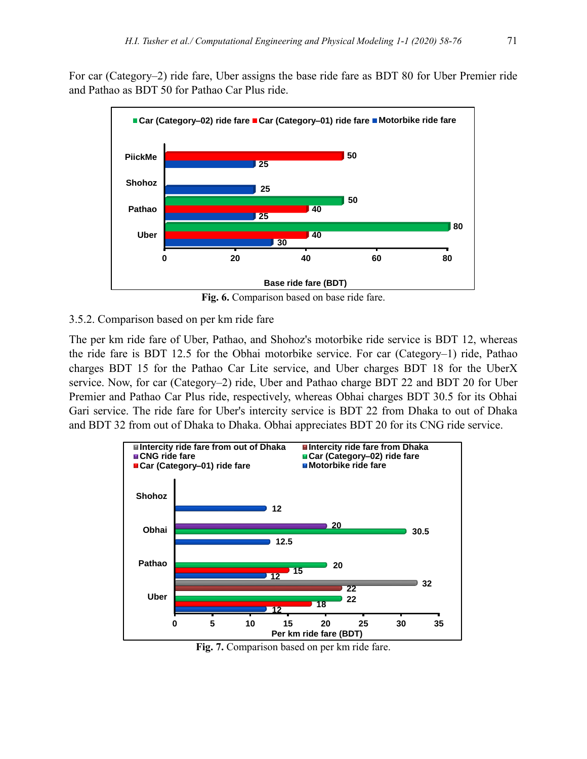For car (Category–2) ride fare, Uber assigns the base ride fare as BDT 80 for Uber Premier ride and Pathao as BDT 50 for Pathao Car Plus ride.



**Fig. 6.** Comparison based on base ride fare.

#### 3.5.2. Comparison based on per km ride fare

The per km ride fare of Uber, Pathao, and Shohoz's motorbike ride service is BDT 12, whereas the ride fare is BDT 12.5 for the Obhai motorbike service. For car (Category–1) ride, Pathao charges BDT 15 for the Pathao Car Lite service, and Uber charges BDT 18 for the UberX service. Now, for car (Category–2) ride, Uber and Pathao charge BDT 22 and BDT 20 for Uber Premier and Pathao Car Plus ride, respectively, whereas Obhai charges BDT 30.5 for its Obhai Gari service. The ride fare for Uber's intercity service is BDT 22 from Dhaka to out of Dhaka and BDT 32 from out of Dhaka to Dhaka. Obhai appreciates BDT 20 for its CNG ride service.



**Fig. 7.** Comparison based on per km ride fare.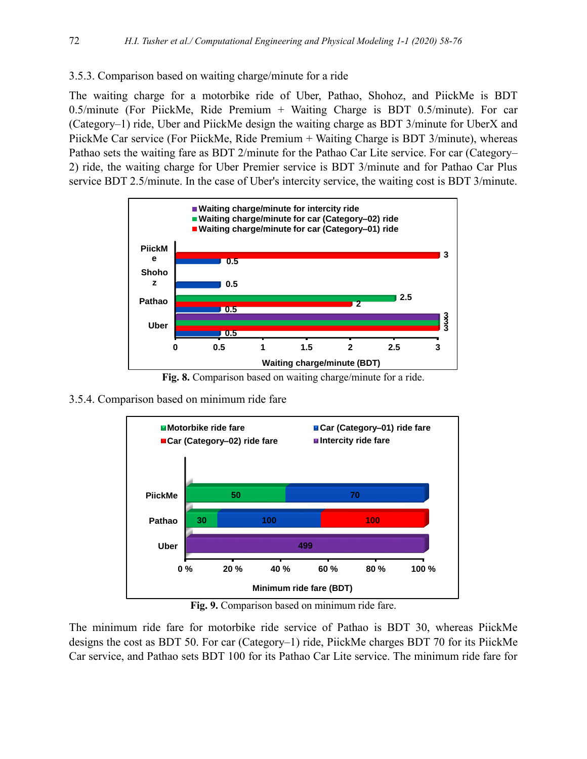#### 3.5.3. Comparison based on waiting charge/minute for a ride

The waiting charge for a motorbike ride of Uber, Pathao, Shohoz, and PiickMe is BDT 0.5/minute (For PiickMe, Ride Premium + Waiting Charge is BDT 0.5/minute). For car (Category–1) ride, Uber and PiickMe design the waiting charge as BDT 3/minute for UberX and PiickMe Car service (For PiickMe, Ride Premium + Waiting Charge is BDT 3/minute), whereas Pathao sets the waiting fare as BDT 2/minute for the Pathao Car Lite service. For car (Category– 2) ride, the waiting charge for Uber Premier service is BDT 3/minute and for Pathao Car Plus service BDT 2.5/minute. In the case of Uber's intercity service, the waiting cost is BDT 3/minute.



**Fig. 8.** Comparison based on waiting charge/minute for a ride.

3.5.4. Comparison based on minimum ride fare



**Fig. 9.** Comparison based on minimum ride fare.

The minimum ride fare for motorbike ride service of Pathao is BDT 30, whereas PiickMe designs the cost as BDT 50. For car (Category–1) ride, PiickMe charges BDT 70 for its PiickMe Car service, and Pathao sets BDT 100 for its Pathao Car Lite service. The minimum ride fare for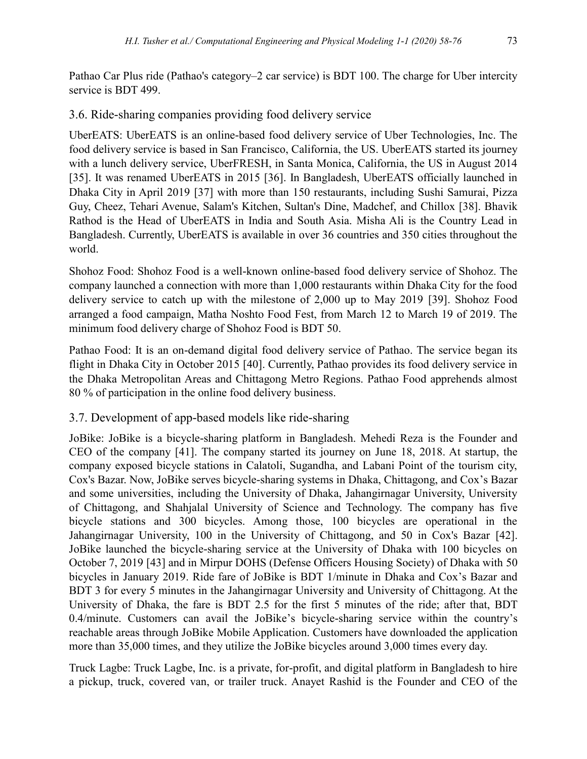Pathao Car Plus ride (Pathao's category–2 car service) is BDT 100. The charge for Uber intercity service is BDT 499.

#### 3.6. Ride-sharing companies providing food delivery service

UberEATS: UberEATS is an online-based food delivery service of Uber Technologies, Inc. The food delivery service is based in San Francisco, California, the US. UberEATS started its journey with a lunch delivery service, UberFRESH, in Santa Monica, California, the US in August 2014 [35]. It was renamed UberEATS in 2015 [36]. In Bangladesh, UberEATS officially launched in Dhaka City in April 2019 [37] with more than 150 restaurants, including Sushi Samurai, Pizza Guy, Cheez, Tehari Avenue, Salam's Kitchen, Sultan's Dine, Madchef, and Chillox [38]. Bhavik Rathod is the Head of UberEATS in India and South Asia. Misha Ali is the Country Lead in Bangladesh. Currently, UberEATS is available in over 36 countries and 350 cities throughout the world.

Shohoz Food: Shohoz Food is a well-known online-based food delivery service of Shohoz. The company launched a connection with more than 1,000 restaurants within Dhaka City for the food delivery service to catch up with the milestone of 2,000 up to May 2019 [39]. Shohoz Food arranged a food campaign, Matha Noshto Food Fest, from March 12 to March 19 of 2019. The minimum food delivery charge of Shohoz Food is BDT 50.

Pathao Food: It is an on-demand digital food delivery service of Pathao. The service began its flight in Dhaka City in October 2015 [40]. Currently, Pathao provides its food delivery service in the Dhaka Metropolitan Areas and Chittagong Metro Regions. Pathao Food apprehends almost 80 % of participation in the online food delivery business.

# 3.7. Development of app-based models like ride-sharing

JoBike: JoBike is a bicycle-sharing platform in Bangladesh. Mehedi Reza is the Founder and CEO of the company [41]. The company started its journey on June 18, 2018. At startup, the company exposed bicycle stations in Calatoli, Sugandha, and Labani Point of the tourism city, Cox's Bazar. Now, JoBike serves bicycle-sharing systems in Dhaka, Chittagong, and Cox's Bazar and some universities, including the University of Dhaka, Jahangirnagar University, University of Chittagong, and Shahjalal University of Science and Technology. The company has five bicycle stations and 300 bicycles. Among those, 100 bicycles are operational in the Jahangirnagar University, 100 in the University of Chittagong, and 50 in Cox's Bazar [42]. JoBike launched the bicycle-sharing service at the University of Dhaka with 100 bicycles on October 7, 2019 [43] and in Mirpur DOHS (Defense Officers Housing Society) of Dhaka with 50 bicycles in January 2019. Ride fare of JoBike is BDT 1/minute in Dhaka and Cox's Bazar and BDT 3 for every 5 minutes in the Jahangirnagar University and University of Chittagong. At the University of Dhaka, the fare is BDT 2.5 for the first 5 minutes of the ride; after that, BDT 0.4/minute. Customers can avail the JoBike's bicycle-sharing service within the country's reachable areas through JoBike Mobile Application. Customers have downloaded the application more than 35,000 times, and they utilize the JoBike bicycles around 3,000 times every day.

Truck Lagbe: Truck Lagbe, Inc. is a private, for-profit, and digital platform in Bangladesh to hire a pickup, truck, covered van, or trailer truck. Anayet Rashid is the Founder and CEO of the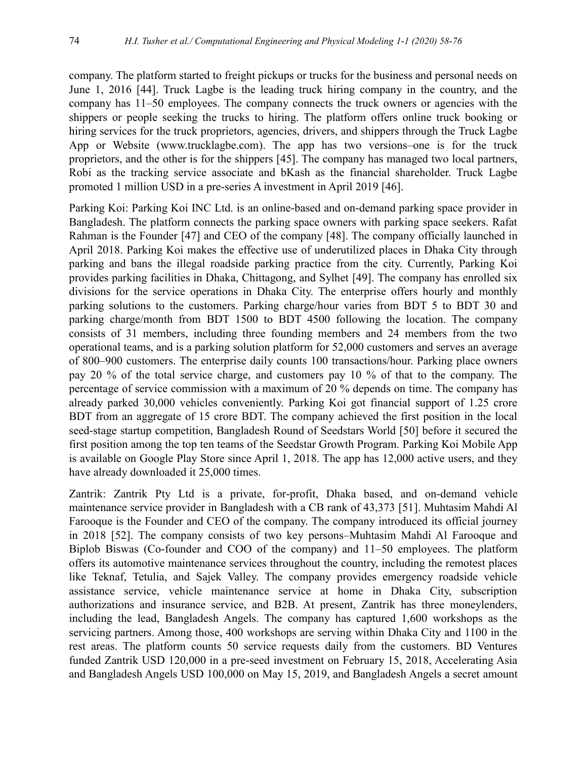company. The platform started to freight pickups or trucks for the business and personal needs on June 1, 2016 [44]. Truck Lagbe is the leading truck hiring company in the country, and the company has 11–50 employees. The company connects the truck owners or agencies with the shippers or people seeking the trucks to hiring. The platform offers online truck booking or hiring services for the truck proprietors, agencies, drivers, and shippers through the Truck Lagbe App or Website [\(www.trucklagbe.com\)](http://www.trucklagbe.com/). The app has two versions–one is for the truck proprietors, and the other is for the shippers [45]. The company has managed two local partners, Robi as the tracking service associate and bKash as the financial shareholder. Truck Lagbe promoted 1 million USD in a pre-series A investment in April 2019 [46].

Parking Koi: Parking Koi INC Ltd. is an online-based and on-demand parking space provider in Bangladesh. The platform connects the parking space owners with parking space seekers. Rafat Rahman is the Founder [47] and CEO of the company [48]. The company officially launched in April 2018. Parking Koi makes the effective use of underutilized places in Dhaka City through parking and bans the illegal roadside parking practice from the city. Currently, Parking Koi provides parking facilities in Dhaka, Chittagong, and Sylhet [49]. The company has enrolled six divisions for the service operations in Dhaka City. The enterprise offers hourly and monthly parking solutions to the customers. Parking charge/hour varies from BDT 5 to BDT 30 and parking charge/month from BDT 1500 to BDT 4500 following the location. The company consists of 31 members, including three founding members and 24 members from the two operational teams, and is a parking solution platform for 52,000 customers and serves an average of 800–900 customers. The enterprise daily counts 100 transactions/hour. Parking place owners pay 20 % of the total service charge, and customers pay 10 % of that to the company. The percentage of service commission with a maximum of 20 % depends on time. The company has already parked 30,000 vehicles conveniently. Parking Koi got financial support of 1.25 crore BDT from an aggregate of 15 crore BDT. The company achieved the first position in the local seed-stage startup competition, Bangladesh Round of Seedstars World [50] before it secured the first position among the top ten teams of the Seedstar Growth Program. Parking Koi Mobile App is available on Google Play Store since April 1, 2018. The app has 12,000 active users, and they have already downloaded it 25,000 times.

Zantrik: Zantrik Pty Ltd is a private, for-profit, Dhaka based, and on-demand vehicle maintenance service provider in Bangladesh with a CB rank of 43,373 [51]. Muhtasim Mahdi Al Farooque is the Founder and CEO of the company. The company introduced its official journey in 2018 [52]. The company consists of two key persons–Muhtasim Mahdi Al Farooque and Biplob Biswas (Co-founder and COO of the company) and 11–50 employees. The platform offers its automotive maintenance services throughout the country, including the remotest places like Teknaf, Tetulia, and Sajek Valley. The company provides emergency roadside vehicle assistance service, vehicle maintenance service at home in Dhaka City, subscription authorizations and insurance service, and B2B. At present, Zantrik has three moneylenders, including the lead, Bangladesh Angels. The company has captured 1,600 workshops as the servicing partners. Among those, 400 workshops are serving within Dhaka City and 1100 in the rest areas. The platform counts 50 service requests daily from the customers. BD Ventures funded Zantrik USD 120,000 in a pre-seed investment on February 15, 2018, Accelerating Asia and Bangladesh Angels USD 100,000 on May 15, 2019, and Bangladesh Angels a secret amount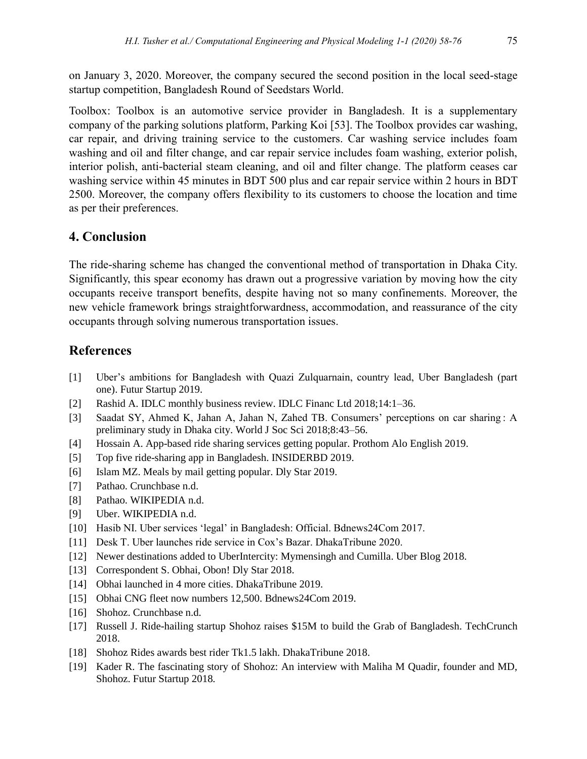on January 3, 2020. Moreover, the company secured the second position in the local seed-stage startup competition, Bangladesh Round of Seedstars World.

Toolbox: Toolbox is an automotive service provider in Bangladesh. It is a supplementary company of the parking solutions platform, Parking Koi [53]. The Toolbox provides car washing, car repair, and driving training service to the customers. Car washing service includes foam washing and oil and filter change, and car repair service includes foam washing, exterior polish, interior polish, anti-bacterial steam cleaning, and oil and filter change. The platform ceases car washing service within 45 minutes in BDT 500 plus and car repair service within 2 hours in BDT 2500. Moreover, the company offers flexibility to its customers to choose the location and time as per their preferences.

# **4. Conclusion**

The ride-sharing scheme has changed the conventional method of transportation in Dhaka City. Significantly, this spear economy has drawn out a progressive variation by moving how the city occupants receive transport benefits, despite having not so many confinements. Moreover, the new vehicle framework brings straightforwardness, accommodation, and reassurance of the city occupants through solving numerous transportation issues.

# **References**

- [1] Uber's ambitions for Bangladesh with Quazi Zulquarnain, country lead, Uber Bangladesh (part one). Futur Startup 2019.
- [2] Rashid A. IDLC monthly business review. IDLC Financ Ltd 2018;14:1-36.
- [3] Saadat SY, Ahmed K, Jahan A, Jahan N, Zahed TB. Consumers' perceptions on car sharing : A preliminary study in Dhaka city. World J Soc Sci 2018;8:43–56.
- [4] Hossain A. App-based ride sharing services getting popular. Prothom Alo English 2019.
- [5] Top five ride-sharing app in Bangladesh. INSIDERBD 2019.
- [6] Islam MZ. Meals by mail getting popular. Dly Star 2019.
- [7] Pathao. Crunchbase n.d.
- [8] Pathao. WIKIPEDIA n.d.
- [9] Uber. WIKIPEDIA n.d.
- [10] Hasib NI. Uber services 'legal' in Bangladesh: Official. Bdnews24Com 2017.
- [11] Desk T. Uber launches ride service in Cox's Bazar. DhakaTribune 2020.
- [12] Newer destinations added to UberIntercity: Mymensingh and Cumilla. Uber Blog 2018.
- [13] Correspondent S. Obhai, Obon! Dly Star 2018.
- [14] Obhai launched in 4 more cities. DhakaTribune 2019.
- [15] Obhai CNG fleet now numbers 12,500. Bdnews24Com 2019.
- [16] Shohoz. Crunchbase n.d.
- [17] Russell J. Ride-hailing startup Shohoz raises \$15M to build the Grab of Bangladesh. TechCrunch 2018.
- [18] Shohoz Rides awards best rider Tk1.5 lakh. DhakaTribune 2018.
- [19] Kader R. The fascinating story of Shohoz: An interview with Maliha M Quadir, founder and MD, Shohoz. Futur Startup 2018.